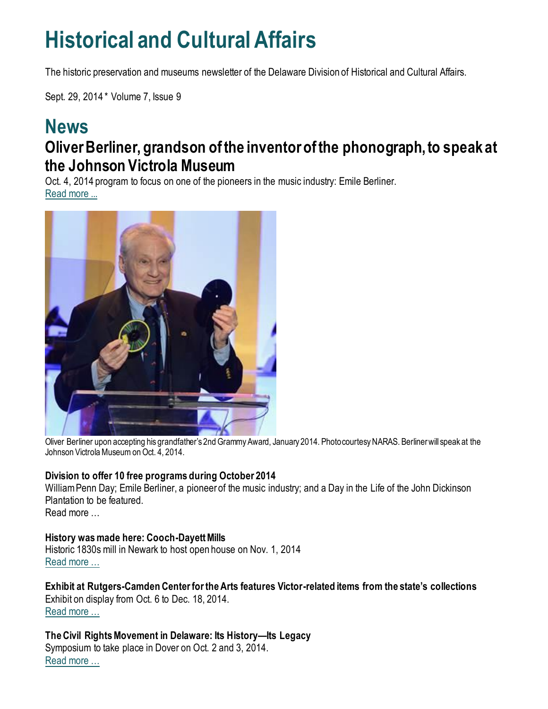## **Historical and Cultural Affairs**

The historic preservation and museums newsletter of the Delaware Division of Historical and Cultural Affairs.

Sept. 29, 2014 \* Volume 7, Issue 9

#### **News Oliver Berliner, grandson of the inventor of the phonograph, to speak at the Johnson Victrola Museum**

Oct. 4, 2014 program to focus on one of the pioneers in the music industry: Emile Berliner. [Read more ...](https://history.delaware.gov/2014/09/29/oliver-berliner-grandson-of-the-inventor-of-the-phonograph-to-speak-at-the-johnson-victrola-museum/)



Oliver Berliner upon accepting his grandfather's 2nd Grammy Award, January 2014. Photo courtesy NARAS. Berliner will speak at the Johnson Victrola Museum on Oct. 4, 2014.

#### **Division to offer 10 free programs during October 2014**

William Penn Day; Emile Berliner, a pioneer of the music industry; and a Day in the Life of the John Dickinson Plantation to be featured.

Read more …

#### **History was made here: Cooch-Dayett Mills**

Historic 1830s mill in Newark to host open house on Nov. 1, 2014 [Read more …](https://history.delaware.gov/2014/09/25/history-was-made-here-cooch-dayett-mills/)

**Exhibit at Rutgers-Camden Center for the Arts features Victor-related items from the state's collections** Exhibit on display from Oct. 6 to Dec. 18, 2014. [Read more …](https://history.delaware.gov/2014/09/16/exhibit-at-rutgers-camden-center-for-the-arts-features-victor-related-items-from-the-states-collections/)

**The Civil Rights Movement in Delaware: Its History—Its Legacy** Symposium to take place in Dover on Oct. 2 and 3, 2014. [Read more …](https://history.delaware.gov/2014/09/19/the-civil-rights-movement-in-delaware-its-history-its-legacy/)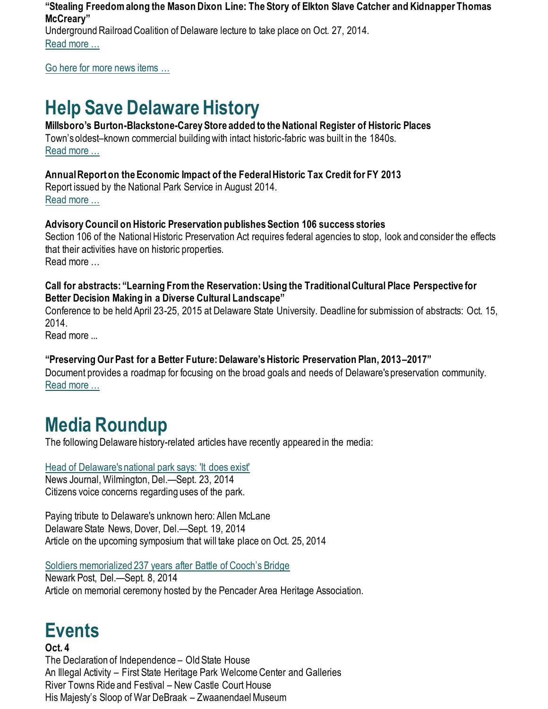**"Stealing Freedom along the Mason Dixon Line: The Story of Elkton Slave Catcher and Kidnapper Thomas McCreary"** Underground Railroad Coalition of Delaware lecture to take place on Oct. 27, 2014.

[Read more …](https://history.delaware.gov/2014/09/23/stealing-freedom-along-the-mason-dixon-line-the-story-of-elkton-slave-catcher-and-kidnapper-thomas-mccreary/)

[Go here for more news items …](http://history.blogs.delaware.gov/)

## **Help Save Delaware History**

#### **Millsboro's Burton-Blackstone-Carey Store added to the National Register of Historic Places**

Town's oldest–known commercial building with intact historic-fabric was built in the 1840s. [Read more …](https://history.delaware.gov/2014/09/29/millsboros-burton-blackstone-carey-store-added-to-the-national-register-of-historic-places/)

#### **Annual Report on the Economic Impact of the Federal Historic Tax Credit for FY 2013**

Report issued by the National Park Service in August 2014. [Read more …](https://www.nps.gov/tps/tax-incentives/taxdocs/economic-impact-2013.pdf)

#### **Advisory Council on Historic Preservation publishes Section 106 success stories**

Section 106 of the National Historic Preservation Act requires federal agencies to stop, look and consider the effects that their activities have on historic properties. Read more …

#### **Call for abstracts: "Learning From the Reservation: Using the Traditional Cultural Place Perspective for Better Decision Making in a Diverse Cultural Landscape"**

Conference to be held April 23-25, 2015 at Delaware State University. Deadline for submission of abstracts: Oct. 15, 2014.

Read more ...

#### **"Preserving Our Past for a Better Future: Delaware's Historic Preservation Plan, 2013–2017"**

Document provides a roadmap for focusing on the broad goals and needs of Delaware's preservation community. [Read more …](https://history.delaware.gov/wp-content/uploads/sites/179/2019/02/Preservation-Plan-2013-2017.pdf)

## **Media Roundup**

The following Delaware history-related articles have recently appeared in the media:

[Head of Delaware's national park says: 'It does exist'](https://www.delawareonline.com/story/news/local/2014/09/23/head-delawares-national-park-says-exist/16133045/) News Journal, Wilmington, Del.—Sept. 23, 2014

Citizens voice concerns regarding uses of the park.

Paying tribute to Delaware's unknown hero: Allen McLane Delaware State News, Dover, Del.—Sept. 19, 2014 Article on the upcoming symposium that will take place on Oct. 25, 2014

[Soldiers memorialized 237 years after Battle of Cooch's Bridge](https://www.newarkpostonline.com/news/article_fe158e24-17e4-5969-8f96-c25014de7a62.html)

Newark Post, Del.—Sept. 8, 2014 Article on memorial ceremony hosted by the Pencader Area Heritage Association.

### **Events**

#### **Oct. 4** The Declaration of Independence – Old State House An Illegal Activity – First State Heritage Park Welcome Center and Galleries River Towns Ride and Festival – New Castle Court House His Majesty's Sloop of War DeBraak – Zwaanendael Museum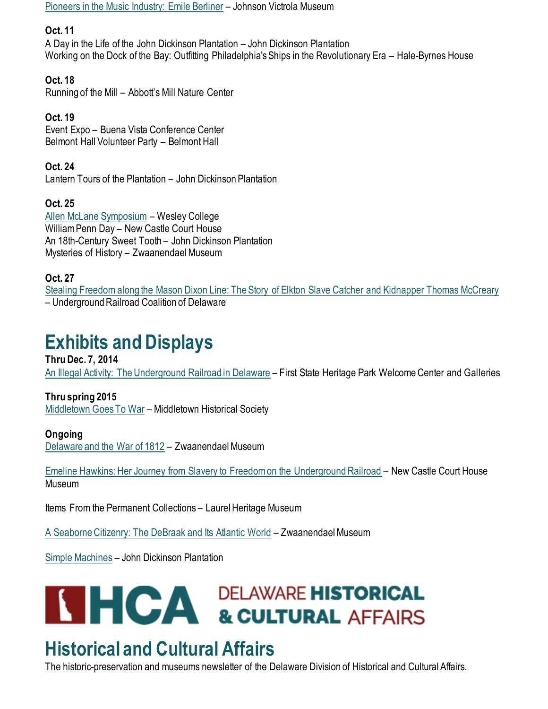[Pioneers in the Music Industry: Emile Berliner](https://history.delaware.gov/2014/09/29/oliver-berliner-grandson-of-the-inventor-of-the-phonograph-to-speak-at-the-johnson-victrola-museum/) – Johnson Victrola Museum

#### **Oct. 11**

A Day in the Life of the John Dickinson Plantation – John Dickinson Plantation Working on the Dock of the Bay: Outfitting Philadelphia's Ships in the Revolutionary Era – Hale-Byrnes House

**Oct. 18**

Running of the Mill – Abbott's Mill Nature Center

**Oct. 19** Event Expo – Buena Vista Conference Center Belmont Hall Volunteer Party – Belmont Hall

**Oct. 24** Lantern Tours of the Plantation – John Dickinson Plantation

**Oct. 25** [Allen McLane Symposium](https://history.delaware.gov/2014/08/27/allen-mclane-symposium-to-take-place-in-dover-on-oct-25-2014/) – Wesley College William Penn Day – New Castle Court House An 18th-Century Sweet Tooth – John Dickinson Plantation Mysteries of History – Zwaanendael Museum

**Oct. 27**

[Stealing Freedom along the Mason Dixon Line: The Story of Elkton Slave Catcher and Kidnapper Thomas McCreary](https://history.delaware.gov/2014/09/23/stealing-freedom-along-the-mason-dixon-line-the-story-of-elkton-slave-catcher-and-kidnapper-thomas-mccreary/) – Underground Railroad Coalition of Delaware

## **Exhibits and Displays**

**Thru Dec. 7, 2014** [An Illegal Activity: The Underground Railroad in Delaware](https://history.delaware.gov/2014/08/26/an-illegal-activity-the-underground-railroad-in-delaware-exhibit-extended-through-dec-7-2014/) – First State Heritage Park Welcome Center and Galleries

**Thru spring 2015** [Middletown Goes To War](http://history.blogs.delaware.gov/2014/07/01/middletown-goes-to-war-exhibit-at-the-middletown-historical-society/) – Middletown Historical Society

#### **Ongoing**

[Delaware and the War of 1812](https://history.delaware.gov/2014/09/10/zwaanendael-museum-features-exhibit-delaware-and-the-war-of-1812/) – Zwaanendael Museum

[Emeline Hawkins: Her Journey from Slavery to Freedom on the Underground Railroad](http://history.blogs.delaware.gov/2014/09/16/emeline-hawkins-her-journey-from-slavery-to-freedom-on-the-underground-railroad-at-the-new-castle-court-house-museum/) – New Castle Court House Museum

Items From the Permanent Collections – Laurel Heritage Museum

[A Seaborne Citizenry: The DeBraak and Its Atlantic World](http://history.blogs.delaware.gov/2014/09/10/a-seaborne-citizenry-the-debraak-and-its-atlantic-world-exhibit-at-the-zwaanendael-museum-2/) – Zwaanendael Museum

[Simple Machines](http://history.blogs.delaware.gov/2014/09/11/simple-machines-exhibit-at-the-john-dickinson-plantation/) – John Dickinson Plantation



# **THCA** DELAWARE HISTORICAL<br>& CULTURAL AFFAIRS

## **Historical and Cultural Affairs**

The historic-preservation and museums newsletter of the Delaware Division of Historical and Cultural Affairs.